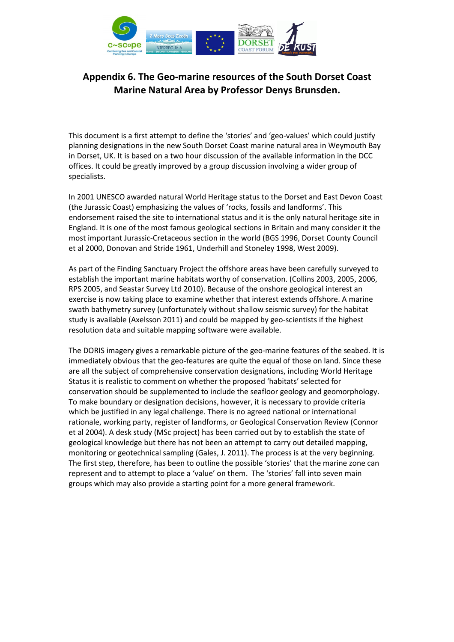

This document is a first attempt to define the 'stories' and 'geo-values' which could justify planning designations in the new South Dorset Coast marine natural area in Weymouth Bay in Dorset, UK. It is based on a two hour discussion of the available information in the DCC offices. It could be greatly improved by a group discussion involving a wider group of specialists.

In 2001 UNESCO awarded natural World Heritage status to the Dorset and East Devon Coast (the Jurassic Coast) emphasizing the values of 'rocks, fossils and landforms'. This endorsement raised the site to international status and it is the only natural heritage site in England. It is one of the most famous geological sections in Britain and many consider it the most important Jurassic-Cretaceous section in the world (BGS 1996, Dorset County Council et al 2000, Donovan and Stride 1961, Underhill and Stoneley 1998, West 2009).

As part of the Finding Sanctuary Project the offshore areas have been carefully surveyed to establish the important marine habitats worthy of conservation. (Collins 2003, 2005, 2006, RPS 2005, and Seastar Survey Ltd 2010). Because of the onshore geological interest an exercise is now taking place to examine whether that interest extends offshore. A marine swath bathymetry survey (unfortunately without shallow seismic survey) for the habitat study is available (Axelsson 2011) and could be mapped by geo-scientists if the highest resolution data and suitable mapping software were available.

The DORIS imagery gives a remarkable picture of the geo-marine features of the seabed. It is immediately obvious that the geo-features are quite the equal of those on land. Since these are all the subject of comprehensive conservation designations, including World Heritage Status it is realistic to comment on whether the proposed 'habitats' selected for conservation should be supplemented to include the seafloor geology and geomorphology. To make boundary or designation decisions, however, it is necessary to provide criteria which be justified in any legal challenge. There is no agreed national or international rationale, working party, register of landforms, or Geological Conservation Review (Connor et al 2004). A desk study (MSc project) has been carried out by to establish the state of geological knowledge but there has not been an attempt to carry out detailed mapping, monitoring or geotechnical sampling (Gales, J. 2011). The process is at the very beginning. The first step, therefore, has been to outline the possible 'stories' that the marine zone can represent and to attempt to place a 'value' on them. The 'stories' fall into seven main groups which may also provide a starting point for a more general framework.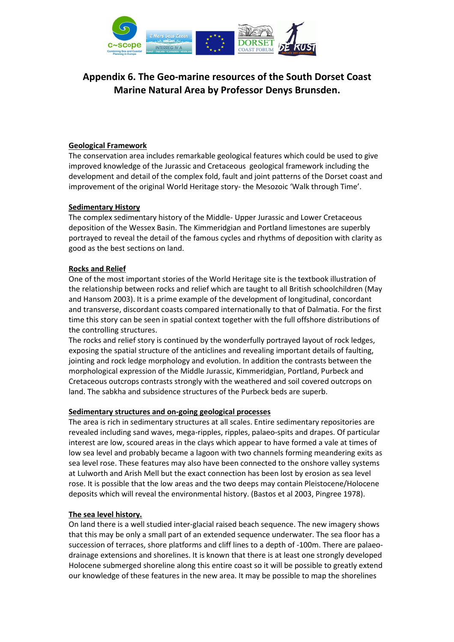

## Geological Framework

The conservation area includes remarkable geological features which could be used to give improved knowledge of the Jurassic and Cretaceous geological framework including the development and detail of the complex fold, fault and joint patterns of the Dorset coast and improvement of the original World Heritage story- the Mesozoic 'Walk through Time'.

### Sedimentary History

The complex sedimentary history of the Middle- Upper Jurassic and Lower Cretaceous deposition of the Wessex Basin. The Kimmeridgian and Portland limestones are superbly portrayed to reveal the detail of the famous cycles and rhythms of deposition with clarity as good as the best sections on land.

### Rocks and Relief

One of the most important stories of the World Heritage site is the textbook illustration of the relationship between rocks and relief which are taught to all British schoolchildren (May and Hansom 2003). It is a prime example of the development of longitudinal, concordant and transverse, discordant coasts compared internationally to that of Dalmatia. For the first time this story can be seen in spatial context together with the full offshore distributions of the controlling structures.

The rocks and relief story is continued by the wonderfully portrayed layout of rock ledges, exposing the spatial structure of the anticlines and revealing important details of faulting, jointing and rock ledge morphology and evolution. In addition the contrasts between the morphological expression of the Middle Jurassic, Kimmeridgian, Portland, Purbeck and Cretaceous outcrops contrasts strongly with the weathered and soil covered outcrops on land. The sabkha and subsidence structures of the Purbeck beds are superb.

#### Sedimentary structures and on-going geological processes

The area is rich in sedimentary structures at all scales. Entire sedimentary repositories are revealed including sand waves, mega-ripples, ripples, palaeo-spits and drapes. Of particular interest are low, scoured areas in the clays which appear to have formed a vale at times of low sea level and probably became a lagoon with two channels forming meandering exits as sea level rose. These features may also have been connected to the onshore valley systems at Lulworth and Arish Mell but the exact connection has been lost by erosion as sea level rose. It is possible that the low areas and the two deeps may contain Pleistocene/Holocene deposits which will reveal the environmental history. (Bastos et al 2003, Pingree 1978).

#### The sea level history.

On land there is a well studied inter-glacial raised beach sequence. The new imagery shows that this may be only a small part of an extended sequence underwater. The sea floor has a succession of terraces, shore platforms and cliff lines to a depth of -100m. There are palaeodrainage extensions and shorelines. It is known that there is at least one strongly developed Holocene submerged shoreline along this entire coast so it will be possible to greatly extend our knowledge of these features in the new area. It may be possible to map the shorelines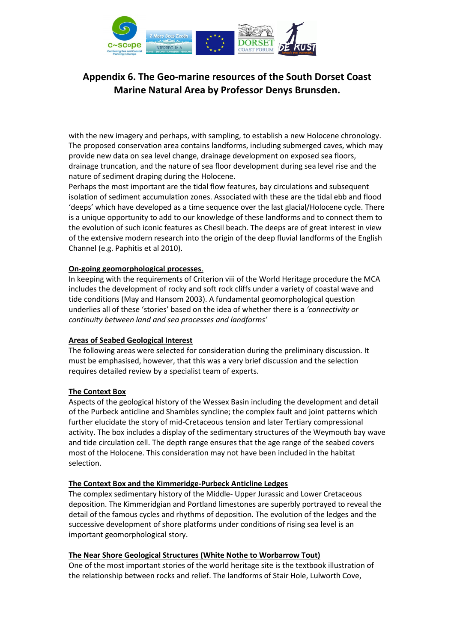

with the new imagery and perhaps, with sampling, to establish a new Holocene chronology. The proposed conservation area contains landforms, including submerged caves, which may provide new data on sea level change, drainage development on exposed sea floors, drainage truncation, and the nature of sea floor development during sea level rise and the nature of sediment draping during the Holocene.

Perhaps the most important are the tidal flow features, bay circulations and subsequent isolation of sediment accumulation zones. Associated with these are the tidal ebb and flood 'deeps' which have developed as a time sequence over the last glacial/Holocene cycle. There is a unique opportunity to add to our knowledge of these landforms and to connect them to the evolution of such iconic features as Chesil beach. The deeps are of great interest in view of the extensive modern research into the origin of the deep fluvial landforms of the English Channel (e.g. Paphitis et al 2010).

### On-going geomorphological processes.

In keeping with the requirements of Criterion viii of the World Heritage procedure the MCA includes the development of rocky and soft rock cliffs under a variety of coastal wave and tide conditions (May and Hansom 2003). A fundamental geomorphological question underlies all of these 'stories' based on the idea of whether there is a 'connectivity or continuity between land and sea processes and landforms'

#### Areas of Seabed Geological Interest

The following areas were selected for consideration during the preliminary discussion. It must be emphasised, however, that this was a very brief discussion and the selection requires detailed review by a specialist team of experts.

#### The Context Box

Aspects of the geological history of the Wessex Basin including the development and detail of the Purbeck anticline and Shambles syncline; the complex fault and joint patterns which further elucidate the story of mid-Cretaceous tension and later Tertiary compressional activity. The box includes a display of the sedimentary structures of the Weymouth bay wave and tide circulation cell. The depth range ensures that the age range of the seabed covers most of the Holocene. This consideration may not have been included in the habitat selection.

## The Context Box and the Kimmeridge-Purbeck Anticline Ledges

The complex sedimentary history of the Middle- Upper Jurassic and Lower Cretaceous deposition. The Kimmeridgian and Portland limestones are superbly portrayed to reveal the detail of the famous cycles and rhythms of deposition. The evolution of the ledges and the successive development of shore platforms under conditions of rising sea level is an important geomorphological story.

#### The Near Shore Geological Structures (White Nothe to Worbarrow Tout)

One of the most important stories of the world heritage site is the textbook illustration of the relationship between rocks and relief. The landforms of Stair Hole, Lulworth Cove,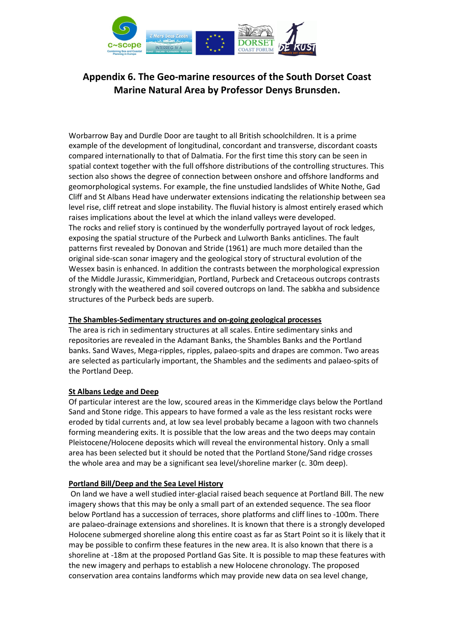

Worbarrow Bay and Durdle Door are taught to all British schoolchildren. It is a prime example of the development of longitudinal, concordant and transverse, discordant coasts compared internationally to that of Dalmatia. For the first time this story can be seen in spatial context together with the full offshore distributions of the controlling structures. This section also shows the degree of connection between onshore and offshore landforms and geomorphological systems. For example, the fine unstudied landslides of White Nothe, Gad Cliff and St Albans Head have underwater extensions indicating the relationship between sea level rise, cliff retreat and slope instability. The fluvial history is almost entirely erased which raises implications about the level at which the inland valleys were developed. The rocks and relief story is continued by the wonderfully portrayed layout of rock ledges, exposing the spatial structure of the Purbeck and Lulworth Banks anticlines. The fault patterns first revealed by Donovan and Stride (1961) are much more detailed than the original side-scan sonar imagery and the geological story of structural evolution of the Wessex basin is enhanced. In addition the contrasts between the morphological expression of the Middle Jurassic, Kimmeridgian, Portland, Purbeck and Cretaceous outcrops contrasts strongly with the weathered and soil covered outcrops on land. The sabkha and subsidence structures of the Purbeck beds are superb.

### The Shambles-Sedimentary structures and on-going geological processes

The area is rich in sedimentary structures at all scales. Entire sedimentary sinks and repositories are revealed in the Adamant Banks, the Shambles Banks and the Portland banks. Sand Waves, Mega-ripples, ripples, palaeo-spits and drapes are common. Two areas are selected as particularly important, the Shambles and the sediments and palaeo-spits of the Portland Deep.

## St Albans Ledge and Deep

Of particular interest are the low, scoured areas in the Kimmeridge clays below the Portland Sand and Stone ridge. This appears to have formed a vale as the less resistant rocks were eroded by tidal currents and, at low sea level probably became a lagoon with two channels forming meandering exits. It is possible that the low areas and the two deeps may contain Pleistocene/Holocene deposits which will reveal the environmental history. Only a small area has been selected but it should be noted that the Portland Stone/Sand ridge crosses the whole area and may be a significant sea level/shoreline marker (c. 30m deep).

#### Portland Bill/Deep and the Sea Level History

 On land we have a well studied inter-glacial raised beach sequence at Portland Bill. The new imagery shows that this may be only a small part of an extended sequence. The sea floor below Portland has a succession of terraces, shore platforms and cliff lines to -100m. There are palaeo-drainage extensions and shorelines. It is known that there is a strongly developed Holocene submerged shoreline along this entire coast as far as Start Point so it is likely that it may be possible to confirm these features in the new area. It is also known that there is a shoreline at -18m at the proposed Portland Gas Site. It is possible to map these features with the new imagery and perhaps to establish a new Holocene chronology. The proposed conservation area contains landforms which may provide new data on sea level change,